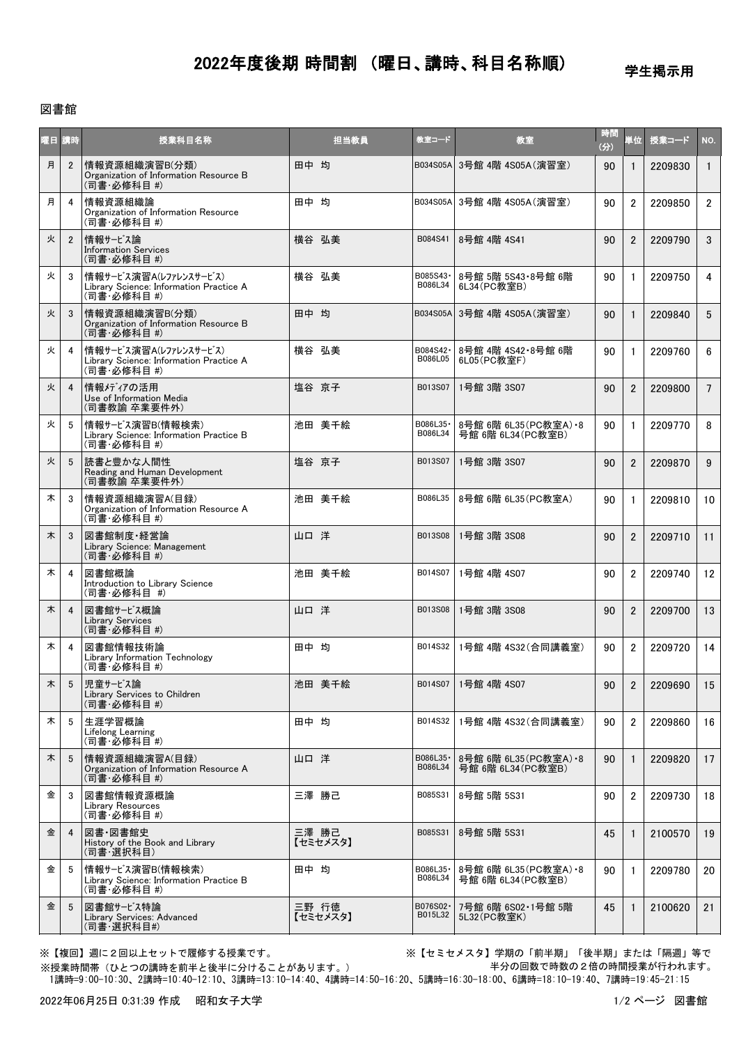## 2022年度後期 時間割 (曜日、講時、科目名称順)

## 学生掲示用

## 図書館

| 曜日 講時 |                 | 授業科目名称                                                                          | 担当教員              | 教室コード               | 教室                                            | 時間<br>(分) | 単位             | 授業コード   | NO.             |
|-------|-----------------|---------------------------------------------------------------------------------|-------------------|---------------------|-----------------------------------------------|-----------|----------------|---------|-----------------|
| 月     | $\overline{2}$  | 情報資源組織演習B(分類)<br>Organization of Information Resource B<br>(司書·必修科目 #)          | 田中 均              | B034S05A            | 3号館 4階 4S05A(演習室)                             | 90        | $\mathbf{1}$   | 2209830 | $\mathbf{1}$    |
| 月     | 4               | 情報資源組織論<br>Organization of Information Resource<br>(司書·必修科目 #)                  | 田中 均              |                     | B034S05A 3号館 4階 4S05A(演習室)                    | 90        | $\overline{2}$ | 2209850 | $\overline{2}$  |
| 火     | $\overline{2}$  | 情報サービス論<br><b>Information Services</b><br>(司書·必修科目 #)                           | 横谷 弘美             | B084S41             | 8号館 4階 4S41                                   | 90        | $\overline{2}$ | 2209790 | 3               |
| 火     | 3               | 情報サービス演習A(レファレンスサービス)<br>Library Science: Information Practice A<br>(司書 必修科目 #) | 横谷 弘美             | B085S43-<br>B086L34 | 8号館 5階 5S43 8号館 6階<br>6L34(PC教室B)             | 90        | $\mathbf{1}$   | 2209750 | $\overline{4}$  |
| 火     | 3               | 情報資源組織演習B(分類)<br>Organization of Information Resource B<br>(司書·必修科目 #)          | 田中 均              | B034S05A            | 3号館 4階 4S05A(演習室)                             | 90        | $\mathbf{1}$   | 2209840 | 5               |
| 火     | 4               | 情報サービス演習A(レファレンスサービス)<br>Library Science: Information Practice A<br>(司書·必修科目 #) | 横谷 弘美             | B084S42·<br>B086L05 | 8号館 4階 4S42·8号館 6階<br>6L05(PC教室F)             | 90        | $\mathbf{1}$   | 2209760 | 6               |
| 火     | $\overline{4}$  | 情報メディアの活用<br>Use of Information Media<br>(司書教諭 卒業要件外)                           | 塩谷 京子             | B013S07             | 1号館 3階 3S07                                   | 90        | $\mathfrak{p}$ | 2209800 | $7\overline{ }$ |
| 火     | 5               | 情報サービス演習B(情報検索)<br>Library Science: Information Practice B<br>(司書·必修科目 #)       | 池田 美千絵            | B086L35-<br>B086L34 | 8号館 6階 6L35 (PC教室A) · 8<br>号館 6階 6L34 (PC教室B) | 90        | $\mathbf{1}$   | 2209770 | 8               |
| 火     | 5               | 読書と豊かな人間性<br>Reading and Human Development<br>(司書教諭 卒業要件外)                      | 塩谷 京子             | B013S07             | 1号館 3階 3S07                                   | 90        | $\overline{2}$ | 2209870 | 9               |
| 木     | 3               | 情報資源組織演習A(目録)<br>Organization of Information Resource A<br>(司書·必修科目 #)          | 池田 美千絵            | B086L35             | 8号館 6階 6L35(PC教室A)                            | 90        | $\mathbf{1}$   | 2209810 | 10              |
| 木     | 3               | 図書館制度·経営論<br>Library Science: Management<br>(司書·必修科目 #)                         | 山口 洋              | B013S08             | 1号館 3階 3S08                                   | 90        | $\overline{2}$ | 2209710 | 11              |
| 木     | 4               | 図書館概論<br>Introduction to Library Science<br>(司書·必修科目 #)                         | 池田 美千絵            | B014S07             | 1号館 4階 4S07                                   | 90        | $\overline{2}$ | 2209740 | 12              |
| 木     | $\overline{4}$  | 図書館サービス概論<br><b>Library Services</b><br>(司書 必修科目 #)                             | 山口 洋              | B013S08             | 1号館 3階 3S08                                   | 90        | $\overline{2}$ | 2209700 | 13              |
| 木     | 4               | 図書館情報技術論<br>Library Information Technology<br>(司書·必修科目 #)                       | 田中 均              |                     | B014S32 1号館 4階 4S32 (合同講義室)                   | 90        | $\overline{2}$ | 2209720 | 14              |
| 木     | $5\overline{)}$ | 児童サービス論<br>Library Services to Children<br>(司書 必修科目 #)                          | 池田 美千絵            |                     | B014S07 1号館 4階 4S07                           | 90        | 2              | 2209690 | 15              |
| 木     | - 5             | 生涯学習概論<br>Lifelong Learning<br>(司書·必修科目 #)                                      | 田中 均              | B014S32             | 1号館 4階 4S32(合同講義室)                            | 90        | $\overline{2}$ | 2209860 | 16              |
| 木     | 5               | 情報資源組織演習A(目録)<br>Organization of Information Resource A<br>(司書·必修科目 #)          | 山口洋               | B086L35·<br>B086L34 | 8号館 6階 6L35(PC教室A) •8<br>号館 6階 6L34 (PC教室B)   | 90        | $\mathbf{1}$   | 2209820 | 17              |
| 金     | 3               | 図書館情報資源概論<br>Library Resources<br>(司書·必修科目 #)                                   | 三澤 勝己             | B085S31             | 8号館 5階 5S31                                   | 90        | $\overline{2}$ | 2209730 | 18              |
| 金     | $\overline{4}$  | 図書·図書館史<br>History of the Book and Library<br>(司書·選択科目)                         | 三澤 勝己<br>【セミセメスタ】 | B085S31             | 8号館 5階 5S31                                   | 45        | $\mathbf{1}$   | 2100570 | 19              |
| 金     | - 5             | 情報サービス演習B(情報検索)<br>Library Science: Information Practice B<br>(司書·必修科目 #)       | 田中 均              | B086L35·<br>B086L34 | 8号館 6階 6L35(PC教室A) •8<br>号館 6階 6L34(PC教室B)    | 90        | $\mathbf{1}$   | 2209780 | 20              |
| 金     | 5               | 図書館サービス特論<br>Library Services: Advanced<br>(司書·選択科目#)                           | 三野 行徳<br>【セミセメスタ】 | B076S02·<br>B015L32 | 7号館 6階 6S02 1号館 5階<br>5L32(PC教室K)             | 45        | $\mathbf{1}$   | 2100620 | 21              |

※授業時間帯(ひとつの講時を前半と後半に分けることがあります。)

※【複回】週に2回以上セットで履修する授業です。 ※【セミセメスタ】学期の「前半期」「後半期」または「隔週」等で 半分の回数で時数の2倍の時間授業が行われます。

1講時=9:00-10:30、2講時=10:40-12:10、3講時=13:10-14:40、4講時=14:50-16:20、5講時=16:30-18:00、6講時=18:10-19:40、7講時=19:45-21:15